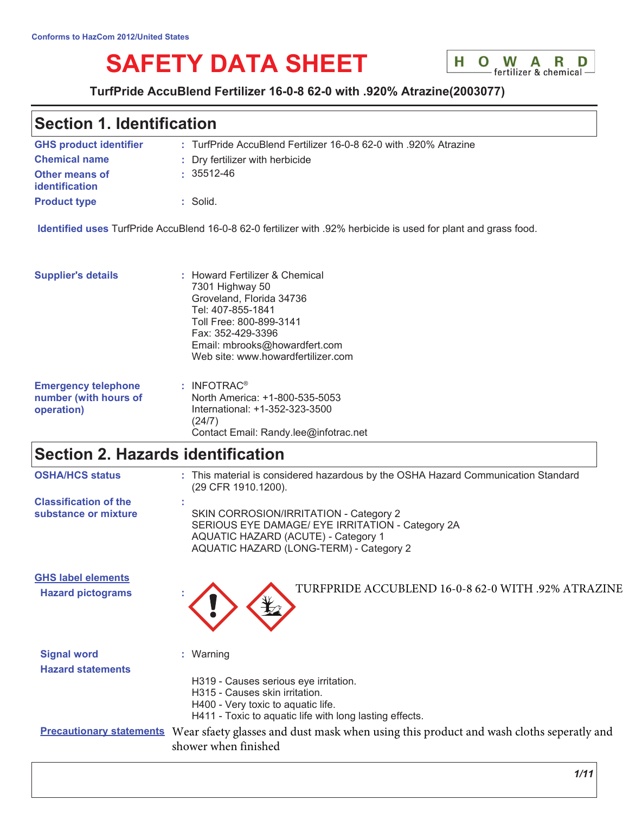# **SAFETY DATA SHEET**



### TurfPride AccuBlend Fertilizer 16-0-8 62-0 with .920% Atrazine(2003077)

# **Section 1. Identification**

| <b>GHS product identifier</b>           | : TurfPride AccuBlend Fertilizer 16-0-8 62-0 with .920% Atrazine |
|-----------------------------------------|------------------------------------------------------------------|
| <b>Chemical name</b>                    | : Dry fertilizer with herbicide                                  |
| Other means of<br><b>identification</b> | $\cdot$ 35512-46                                                 |
| <b>Product type</b>                     | : Solid.                                                         |

Identified uses TurfPride AccuBlend 16-0-8 62-0 fertilizer with .92% herbicide is used for plant and grass food.

Contact Email: Randy.lee@infotrac.net

| <b>Supplier's details</b>  | : Howard Fertilizer & Chemical<br>7301 Highway 50<br>Groveland, Florida 34736<br>Tel: 407-855-1841<br>Toll Free: 800-899-3141<br>Fax: 352-429-3396<br>Email: mbrooks@howardfert.com<br>Web site: www.howardfertilizer.com |
|----------------------------|---------------------------------------------------------------------------------------------------------------------------------------------------------------------------------------------------------------------------|
| <b>Emergency telephone</b> | : INFOTRAC <sup>®</sup>                                                                                                                                                                                                   |
| number (with hours of      | North America: +1-800-535-5053                                                                                                                                                                                            |
| operation)                 | International: +1-352-323-3500                                                                                                                                                                                            |

 $(24/7)$ 

# Section 2. Hazards identification

| <b>OSHA/HCS status</b>                                | : This material is considered hazardous by the OSHA Hazard Communication Standard<br>(29 CFR 1910.1200).                                                                            |
|-------------------------------------------------------|-------------------------------------------------------------------------------------------------------------------------------------------------------------------------------------|
| <b>Classification of the</b>                          |                                                                                                                                                                                     |
| substance or mixture                                  | SKIN CORROSION/IRRITATION - Category 2<br>SERIOUS EYE DAMAGE/ EYE IRRITATION - Category 2A<br><b>AQUATIC HAZARD (ACUTE) - Category 1</b><br>AQUATIC HAZARD (LONG-TERM) - Category 2 |
| <b>GHS label elements</b><br><b>Hazard pictograms</b> | TURFPRIDE ACCUBLEND 16-0-8 62-0 WITH .92% ATRAZINE                                                                                                                                  |
| <b>Signal word</b><br><b>Hazard statements</b>        | : Warning                                                                                                                                                                           |
|                                                       | H319 - Causes serious eye irritation.<br>H315 - Causes skin irritation.<br>H400 - Very toxic to aquatic life.<br>H411 - Toxic to aquatic life with long lasting effects.            |
|                                                       | <b>Precautionary statements</b> Wear sfaety glasses and dust mask when using this product and wash cloths seperatly and<br>shower when finished                                     |
|                                                       | 1/11                                                                                                                                                                                |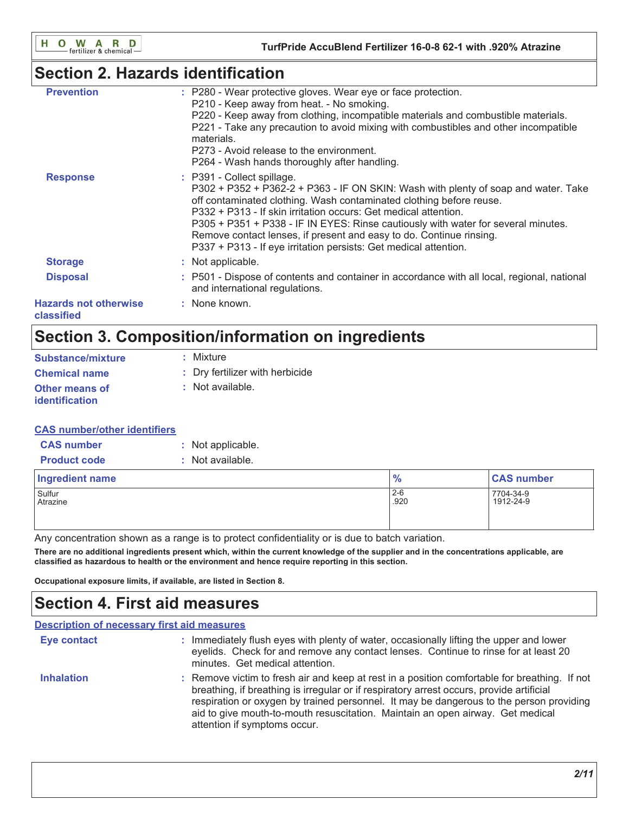# **Section 2. Hazards identification**

| <b>Prevention</b>                          | : P280 - Wear protective gloves. Wear eye or face protection.<br>P210 - Keep away from heat. - No smoking.<br>P220 - Keep away from clothing, incompatible materials and combustible materials.<br>P221 - Take any precaution to avoid mixing with combustibles and other incompatible<br>materials.<br>P273 - Avoid release to the environment.<br>P264 - Wash hands thoroughly after handling.                                                                                           |
|--------------------------------------------|--------------------------------------------------------------------------------------------------------------------------------------------------------------------------------------------------------------------------------------------------------------------------------------------------------------------------------------------------------------------------------------------------------------------------------------------------------------------------------------------|
| <b>Response</b>                            | : P391 - Collect spillage.<br>P302 + P352 + P362-2 + P363 - IF ON SKIN: Wash with plenty of soap and water. Take<br>off contaminated clothing. Wash contaminated clothing before reuse.<br>P332 + P313 - If skin irritation occurs: Get medical attention.<br>P305 + P351 + P338 - IF IN EYES: Rinse cautiously with water for several minutes.<br>Remove contact lenses, if present and easy to do. Continue rinsing.<br>P337 + P313 - If eye irritation persists: Get medical attention. |
| <b>Storage</b>                             | : Not applicable.                                                                                                                                                                                                                                                                                                                                                                                                                                                                          |
| <b>Disposal</b>                            | : P501 - Dispose of contents and container in accordance with all local, regional, national<br>and international regulations.                                                                                                                                                                                                                                                                                                                                                              |
| <b>Hazards not otherwise</b><br>classified | : None known.                                                                                                                                                                                                                                                                                                                                                                                                                                                                              |
|                                            |                                                                                                                                                                                                                                                                                                                                                                                                                                                                                            |

# Section 3. Composition/information on ingredients

| <b>Substance/mixture</b>                       | : Mixture                       |
|------------------------------------------------|---------------------------------|
| <b>Chemical name</b>                           | : Dry fertilizer with herbicide |
| <b>Other means of</b><br><i>identification</i> | : Not available.                |

### **CAS number/other identifiers**

| <b>CAS number</b>   | : Not applicable. |
|---------------------|-------------------|
| <b>Product code</b> | : Not available.  |

| $\frac{9}{6}$<br>Ingredient name      | <b>CAS number</b>      |
|---------------------------------------|------------------------|
| $2 - 6$<br>.920<br>Sulfur<br>Atrazine | 7704-34-9<br>1912-24-9 |

Any concentration shown as a range is to protect confidentiality or is due to batch variation.

There are no additional ingredients present which, within the current knowledge of the supplier and in the concentrations applicable, are classified as hazardous to health or the environment and hence require reporting in this section.

Occupational exposure limits, if available, are listed in Section 8.

# **Section 4. First aid measures**

| <b>Description of necessary first aid measures</b> |                                                                                                                                                                                                                                                                                                                                                                                                        |
|----------------------------------------------------|--------------------------------------------------------------------------------------------------------------------------------------------------------------------------------------------------------------------------------------------------------------------------------------------------------------------------------------------------------------------------------------------------------|
| <b>Eye contact</b>                                 | : Immediately flush eyes with plenty of water, occasionally lifting the upper and lower<br>eyelids. Check for and remove any contact lenses. Continue to rinse for at least 20<br>minutes. Get medical attention.                                                                                                                                                                                      |
| <b>Inhalation</b>                                  | : Remove victim to fresh air and keep at rest in a position comfortable for breathing. If not<br>breathing, if breathing is irregular or if respiratory arrest occurs, provide artificial<br>respiration or oxygen by trained personnel. It may be dangerous to the person providing<br>aid to give mouth-to-mouth resuscitation. Maintain an open airway. Get medical<br>attention if symptoms occur. |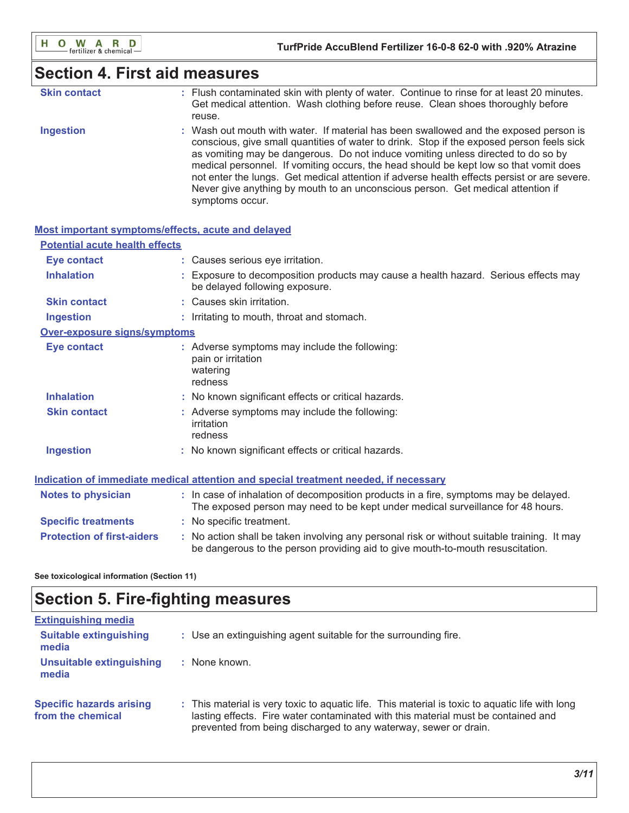# **Section 4. First aid measures**

| <b>Skin contact</b> | : Flush contaminated skin with plenty of water. Continue to rinse for at least 20 minutes. |
|---------------------|--------------------------------------------------------------------------------------------|
|                     | Get medical attention. Wash clothing before reuse. Clean shoes thoroughly before           |
|                     | reuse.                                                                                     |

**Ingestion** : Wash out mouth with water. If material has been swallowed and the exposed person is conscious, give small quantities of water to drink. Stop if the exposed person feels sick as vomiting may be dangerous. Do not induce vomiting unless directed to do so by medical personnel. If vomiting occurs, the head should be kept low so that vomit does not enter the lungs. Get medical attention if adverse health effects persist or are severe. Never give anything by mouth to an unconscious person. Get medical attention if symptoms occur.

| Most important symptoms/effects, acute and delayed |                                                                                                                                                                               |
|----------------------------------------------------|-------------------------------------------------------------------------------------------------------------------------------------------------------------------------------|
| <b>Potential acute health effects</b>              |                                                                                                                                                                               |
| <b>Eye contact</b>                                 | : Causes serious eye irritation.                                                                                                                                              |
| <b>Inhalation</b>                                  | : Exposure to decomposition products may cause a health hazard. Serious effects may<br>be delayed following exposure.                                                         |
| <b>Skin contact</b>                                | : Causes skin irritation.                                                                                                                                                     |
| <b>Ingestion</b>                                   | : Irritating to mouth, throat and stomach.                                                                                                                                    |
| Over-exposure signs/symptoms                       |                                                                                                                                                                               |
| <b>Eye contact</b>                                 | : Adverse symptoms may include the following:<br>pain or irritation<br>watering<br>redness                                                                                    |
| <b>Inhalation</b>                                  | : No known significant effects or critical hazards.                                                                                                                           |
| <b>Skin contact</b>                                | : Adverse symptoms may include the following:<br>irritation<br>redness                                                                                                        |
| <b>Ingestion</b>                                   | : No known significant effects or critical hazards.                                                                                                                           |
|                                                    | Indication of immediate medical attention and special treatment needed, if necessary                                                                                          |
| <b>Notes to physician</b>                          | : In case of inhalation of decomposition products in a fire, symptoms may be delayed.<br>The exposed person may need to be kept under medical surveillance for 48 hours.      |
| <b>Specific treatments</b>                         | : No specific treatment.                                                                                                                                                      |
| <b>Protection of first-aiders</b>                  | : No action shall be taken involving any personal risk or without suitable training. It may<br>be dangerous to the person providing aid to give mouth-to-mouth resuscitation. |

See toxicological information (Section 11)

# **Section 5. Fire-fighting measures**

| <b>Extinguishing media</b>                           |                                                                                                                                                                                                                                                          |
|------------------------------------------------------|----------------------------------------------------------------------------------------------------------------------------------------------------------------------------------------------------------------------------------------------------------|
| <b>Suitable extinguishing</b><br>media               | : Use an extinguishing agent suitable for the surrounding fire.                                                                                                                                                                                          |
| <b>Unsuitable extinguishing</b><br>media             | : None known.                                                                                                                                                                                                                                            |
| <b>Specific hazards arising</b><br>from the chemical | : This material is very toxic to aguatic life. This material is toxic to aguatic life with long<br>lasting effects. Fire water contaminated with this material must be contained and<br>prevented from being discharged to any waterway, sewer or drain. |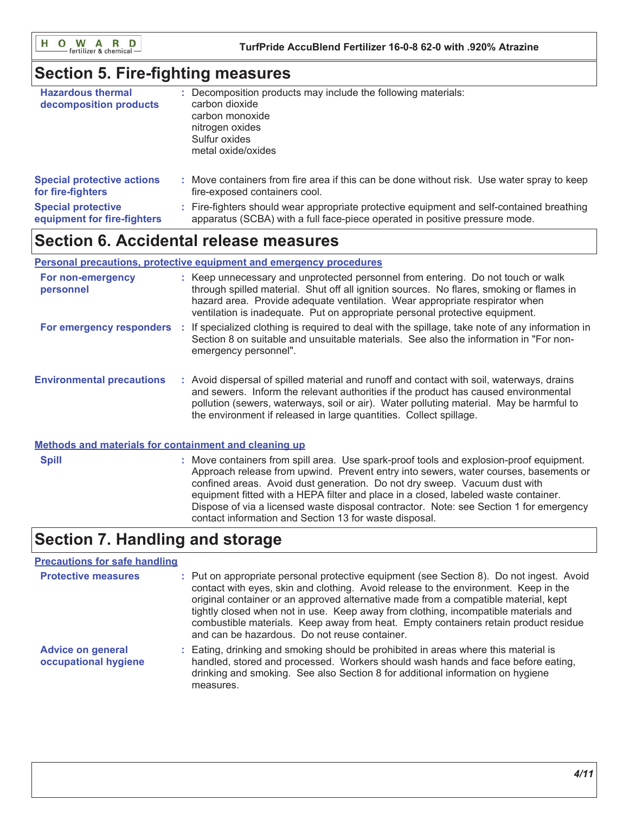O W A R D H.

### **Section 5. Fire-fighting measures**

| <b>Hazardous thermal</b><br>decomposition products | Decomposition products may include the following materials:<br>carbon dioxide<br>carbon monoxide<br>nitrogen oxides<br>Sulfur oxides<br>metal oxide/oxides |
|----------------------------------------------------|------------------------------------------------------------------------------------------------------------------------------------------------------------|
| <b>Special protective actions</b>                  | : Move containers from fire area if this can be done without risk. Use water spray to keep                                                                 |
| for fire-fighters                                  | fire-exposed containers cool.                                                                                                                              |
| <b>Special protective</b>                          | : Fire-fighters should wear appropriate protective equipment and self-contained breathing                                                                  |
| equipment for fire-fighters                        | apparatus (SCBA) with a full face-piece operated in positive pressure mode.                                                                                |

# **Section 6. Accidental release measures**

#### Personal precautions, protective equipment and emergency procedures

| For non-emergency<br>personnel   | : Keep unnecessary and unprotected personnel from entering. Do not touch or walk<br>through spilled material. Shut off all ignition sources. No flares, smoking or flames in<br>hazard area. Provide adequate ventilation. Wear appropriate respirator when<br>ventilation is inadequate. Put on appropriate personal protective equipment.       |
|----------------------------------|---------------------------------------------------------------------------------------------------------------------------------------------------------------------------------------------------------------------------------------------------------------------------------------------------------------------------------------------------|
| For emergency responders :       | If specialized clothing is required to deal with the spillage, take note of any information in<br>Section 8 on suitable and unsuitable materials. See also the information in "For non-<br>emergency personnel".                                                                                                                                  |
| <b>Environmental precautions</b> | : Avoid dispersal of spilled material and runoff and contact with soil, waterways, drains<br>and sewers. Inform the relevant authorities if the product has caused environmental<br>pollution (sewers, waterways, soil or air). Water polluting material. May be harmful to<br>the environment if released in large quantities. Collect spillage. |

#### Methods and materials for containment and cleaning up

: Move containers from spill area. Use spark-proof tools and explosion-proof equipment. **Spill** Approach release from upwind. Prevent entry into sewers, water courses, basements or confined areas. Avoid dust generation. Do not dry sweep. Vacuum dust with equipment fitted with a HEPA filter and place in a closed, labeled waste container. Dispose of via a licensed waste disposal contractor. Note: see Section 1 for emergency contact information and Section 13 for waste disposal.

# **Section 7. Handling and storage**

### **Precautions for safe handling**

| <b>Protective measures</b>                       | : Put on appropriate personal protective equipment (see Section 8). Do not ingest. Avoid<br>contact with eyes, skin and clothing. Avoid release to the environment. Keep in the<br>original container or an approved alternative made from a compatible material, kept<br>tightly closed when not in use. Keep away from clothing, incompatible materials and<br>combustible materials. Keep away from heat. Empty containers retain product residue<br>and can be hazardous. Do not reuse container. |
|--------------------------------------------------|-------------------------------------------------------------------------------------------------------------------------------------------------------------------------------------------------------------------------------------------------------------------------------------------------------------------------------------------------------------------------------------------------------------------------------------------------------------------------------------------------------|
| <b>Advice on general</b><br>occupational hygiene | : Eating, drinking and smoking should be prohibited in areas where this material is<br>handled, stored and processed. Workers should wash hands and face before eating,<br>drinking and smoking. See also Section 8 for additional information on hygiene<br>measures.                                                                                                                                                                                                                                |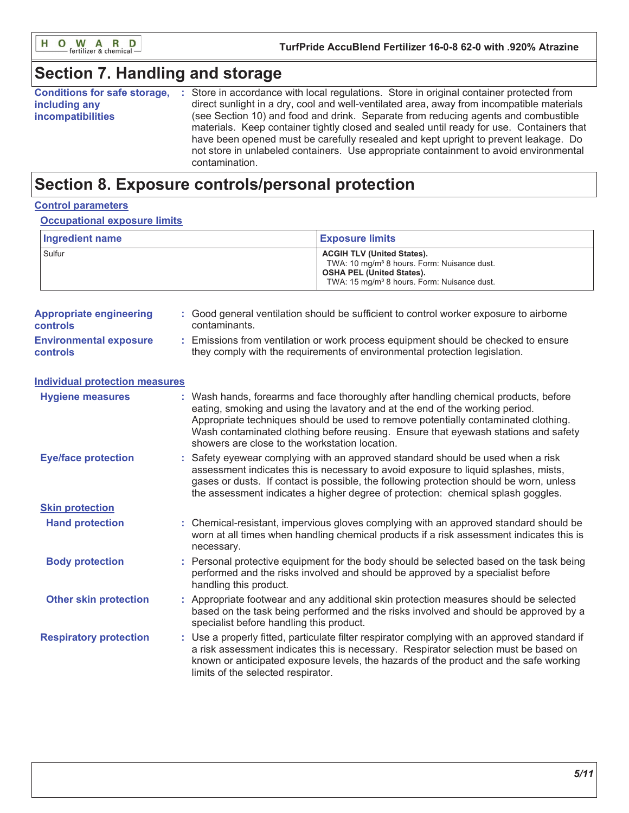

# **Section 7. Handling and storage**

| <b>Conditions for safe storage,</b> | Store in accordance with local regulations. Store in original container protected from    |
|-------------------------------------|-------------------------------------------------------------------------------------------|
| including any                       | direct sunlight in a dry, cool and well-ventilated area, away from incompatible materials |
| <i>incompatibilities</i>            | (see Section 10) and food and drink. Separate from reducing agents and combustible        |
|                                     | materials. Keep container tightly closed and sealed until ready for use. Containers that  |
|                                     | have been opened must be carefully resealed and kept upright to prevent leakage. Do       |
|                                     | not store in unlabeled containers. Use appropriate containment to avoid environmental     |
|                                     | contamination.                                                                            |

# Section 8. Exposure controls/personal protection

### **Control parameters**

#### **Occupational exposure limits**

| Ingredient name | <b>Exposure limits</b>                                                                                                                                                                      |
|-----------------|---------------------------------------------------------------------------------------------------------------------------------------------------------------------------------------------|
| Sulfur          | <b>ACGIH TLV (United States).</b><br>TWA: 10 mg/m <sup>3</sup> 8 hours. Form: Nuisance dust.<br><b>OSHA PEL (United States).</b><br>TWA: 15 mg/m <sup>3</sup> 8 hours. Form: Nuisance dust. |

| <b>Appropriate engineering</b><br><b>controls</b> | Good general ventilation should be sufficient to control worker exposure to airborne<br>contaminants.                                                          |
|---------------------------------------------------|----------------------------------------------------------------------------------------------------------------------------------------------------------------|
| <b>Environmental exposure</b><br><b>controls</b>  | Emissions from ventilation or work process equipment should be checked to ensure<br>they comply with the requirements of environmental protection legislation. |

| <b>Individual protection measures</b> |                                                                                                                                                                                                                                                                                                                                                                                                   |
|---------------------------------------|---------------------------------------------------------------------------------------------------------------------------------------------------------------------------------------------------------------------------------------------------------------------------------------------------------------------------------------------------------------------------------------------------|
| <b>Hygiene measures</b>               | : Wash hands, forearms and face thoroughly after handling chemical products, before<br>eating, smoking and using the lavatory and at the end of the working period.<br>Appropriate techniques should be used to remove potentially contaminated clothing.<br>Wash contaminated clothing before reusing. Ensure that eyewash stations and safety<br>showers are close to the workstation location. |
| <b>Eye/face protection</b>            | : Safety eyewear complying with an approved standard should be used when a risk<br>assessment indicates this is necessary to avoid exposure to liquid splashes, mists,<br>gases or dusts. If contact is possible, the following protection should be worn, unless<br>the assessment indicates a higher degree of protection: chemical splash goggles.                                             |
| <b>Skin protection</b>                |                                                                                                                                                                                                                                                                                                                                                                                                   |
| <b>Hand protection</b>                | : Chemical-resistant, impervious gloves complying with an approved standard should be<br>worn at all times when handling chemical products if a risk assessment indicates this is<br>necessary.                                                                                                                                                                                                   |
| <b>Body protection</b>                | Personal protective equipment for the body should be selected based on the task being<br>performed and the risks involved and should be approved by a specialist before<br>handling this product.                                                                                                                                                                                                 |
| <b>Other skin protection</b>          | : Appropriate footwear and any additional skin protection measures should be selected<br>based on the task being performed and the risks involved and should be approved by a<br>specialist before handling this product.                                                                                                                                                                         |
| <b>Respiratory protection</b>         | : Use a properly fitted, particulate filter respirator complying with an approved standard if<br>a risk assessment indicates this is necessary. Respirator selection must be based on<br>known or anticipated exposure levels, the hazards of the product and the safe working<br>limits of the selected respirator.                                                                              |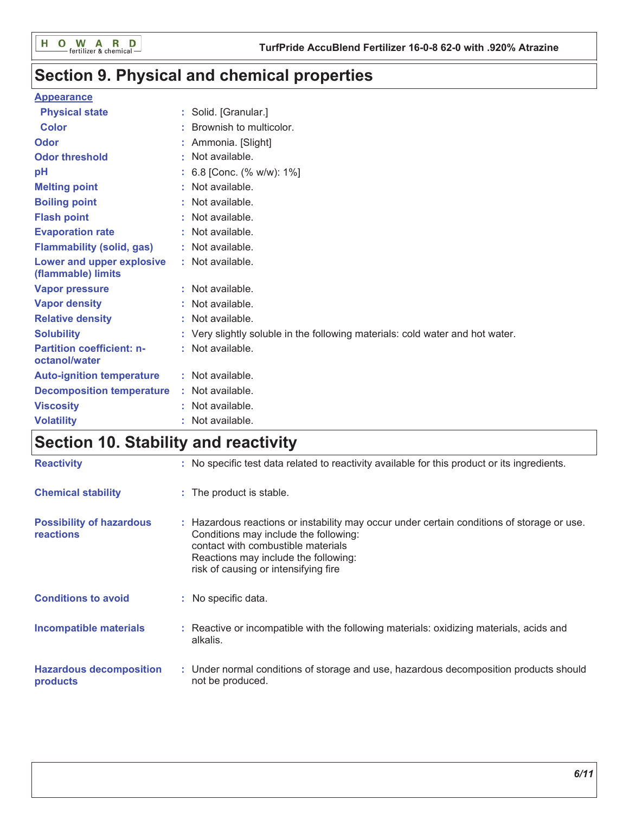# Section 9. Physical and chemical properties

### **Appearance**

| <b>Physical state</b>                             |   | Solid. [Granular.]                                                            |
|---------------------------------------------------|---|-------------------------------------------------------------------------------|
| <b>Color</b>                                      |   | Brownish to multicolor.                                                       |
| Odor                                              |   | Ammonia. [Slight]                                                             |
| <b>Odor threshold</b>                             | ٠ | Not available.                                                                |
| рH                                                |   | 6.8 [Conc. (% w/w): 1%]                                                       |
| <b>Melting point</b>                              |   | Not available.                                                                |
| <b>Boiling point</b>                              |   | : Not available.                                                              |
| <b>Flash point</b>                                |   | Not available.                                                                |
| <b>Evaporation rate</b>                           |   | : Not available.                                                              |
| <b>Flammability (solid, gas)</b>                  |   | : Not available.                                                              |
| Lower and upper explosive<br>(flammable) limits   |   | : Not available.                                                              |
| <b>Vapor pressure</b>                             |   | : Not available.                                                              |
| <b>Vapor density</b>                              |   | : Not available.                                                              |
| <b>Relative density</b>                           |   | Not available.                                                                |
| <b>Solubility</b>                                 |   | : Very slightly soluble in the following materials: cold water and hot water. |
| <b>Partition coefficient: n-</b><br>octanol/water |   | : Not available.                                                              |
| <b>Auto-ignition temperature</b>                  |   | : Not available.                                                              |
| <b>Decomposition temperature</b>                  |   | : Not available.                                                              |
| <b>Viscosity</b>                                  |   | Not available.                                                                |
| <b>Volatility</b>                                 |   | Not available.                                                                |

# Section 10. Stability and reactivity

| <b>Reactivity</b>                                   | : No specific test data related to reactivity available for this product or its ingredients.                                                                                                                                                              |
|-----------------------------------------------------|-----------------------------------------------------------------------------------------------------------------------------------------------------------------------------------------------------------------------------------------------------------|
| <b>Chemical stability</b>                           | : The product is stable.                                                                                                                                                                                                                                  |
| <b>Possibility of hazardous</b><br><b>reactions</b> | : Hazardous reactions or instability may occur under certain conditions of storage or use.<br>Conditions may include the following:<br>contact with combustible materials<br>Reactions may include the following:<br>risk of causing or intensifying fire |
| <b>Conditions to avoid</b>                          | : No specific data.                                                                                                                                                                                                                                       |
| <b>Incompatible materials</b>                       | : Reactive or incompatible with the following materials: oxidizing materials, acids and<br>alkalis.                                                                                                                                                       |
| <b>Hazardous decomposition</b><br>products          | : Under normal conditions of storage and use, hazardous decomposition products should<br>not be produced.                                                                                                                                                 |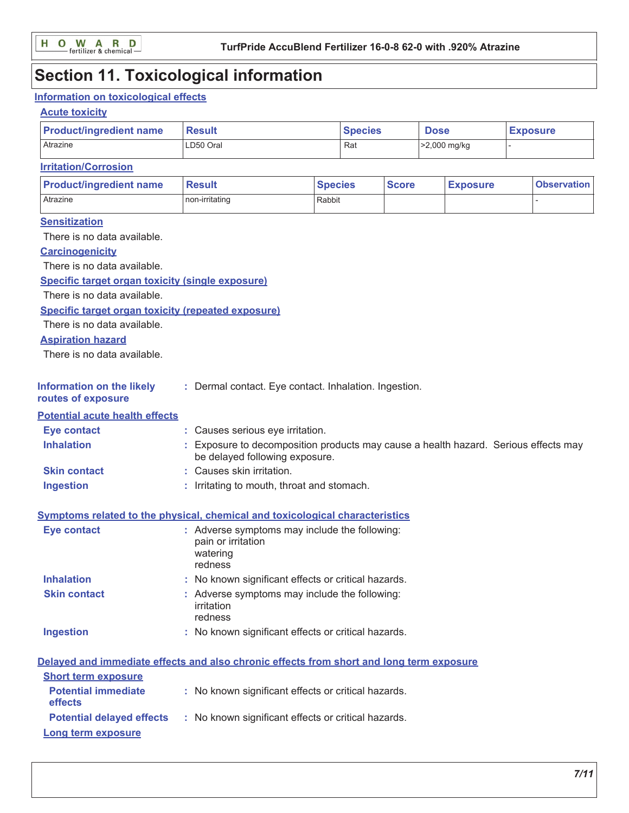# **Section 11. Toxicological information**

### Information on toxicological effects

### **Acute toxicity**

| <b>Product/ingredient name</b>                                                           | <b>Result</b>                                                                                                         |                | <b>Species</b> |              | <b>Dose</b> |                 | <b>Exposure</b> |                    |
|------------------------------------------------------------------------------------------|-----------------------------------------------------------------------------------------------------------------------|----------------|----------------|--------------|-------------|-----------------|-----------------|--------------------|
| Atrazine                                                                                 | LD50 Oral                                                                                                             |                | Rat            |              |             | >2,000 mg/kg    |                 |                    |
| <b>Irritation/Corrosion</b>                                                              |                                                                                                                       |                |                |              |             |                 |                 |                    |
| <b>Product/ingredient name</b>                                                           | <b>Result</b>                                                                                                         | <b>Species</b> |                | <b>Score</b> |             | <b>Exposure</b> |                 | <b>Observation</b> |
| Atrazine                                                                                 | non-irritating                                                                                                        | Rabbit         |                |              |             |                 |                 |                    |
| <b>Sensitization</b>                                                                     |                                                                                                                       |                |                |              |             |                 |                 |                    |
| There is no data available.                                                              |                                                                                                                       |                |                |              |             |                 |                 |                    |
| <b>Carcinogenicity</b>                                                                   |                                                                                                                       |                |                |              |             |                 |                 |                    |
| There is no data available.                                                              |                                                                                                                       |                |                |              |             |                 |                 |                    |
| Specific target organ toxicity (single exposure)                                         |                                                                                                                       |                |                |              |             |                 |                 |                    |
| There is no data available.                                                              |                                                                                                                       |                |                |              |             |                 |                 |                    |
| <b>Specific target organ toxicity (repeated exposure)</b>                                |                                                                                                                       |                |                |              |             |                 |                 |                    |
| There is no data available.                                                              |                                                                                                                       |                |                |              |             |                 |                 |                    |
| <b>Aspiration hazard</b>                                                                 |                                                                                                                       |                |                |              |             |                 |                 |                    |
| There is no data available.                                                              |                                                                                                                       |                |                |              |             |                 |                 |                    |
| <b>Information on the likely</b><br>routes of exposure                                   | : Dermal contact. Eye contact. Inhalation. Ingestion.                                                                 |                |                |              |             |                 |                 |                    |
| <b>Potential acute health effects</b>                                                    |                                                                                                                       |                |                |              |             |                 |                 |                    |
| <b>Eye contact</b>                                                                       | : Causes serious eye irritation.                                                                                      |                |                |              |             |                 |                 |                    |
| <b>Inhalation</b>                                                                        | : Exposure to decomposition products may cause a health hazard. Serious effects may<br>be delayed following exposure. |                |                |              |             |                 |                 |                    |
| <b>Skin contact</b>                                                                      | : Causes skin irritation.                                                                                             |                |                |              |             |                 |                 |                    |
| <b>Ingestion</b>                                                                         | : Irritating to mouth, throat and stomach.                                                                            |                |                |              |             |                 |                 |                    |
| <b>Symptoms related to the physical, chemical and toxicological characteristics</b>      |                                                                                                                       |                |                |              |             |                 |                 |                    |
| <b>Eye contact</b>                                                                       | : Adverse symptoms may include the following:<br>pain or irritation<br>watering<br>redness                            |                |                |              |             |                 |                 |                    |
| <b>Inhalation</b>                                                                        | No known significant effects or critical hazards.                                                                     |                |                |              |             |                 |                 |                    |
| <b>Skin contact</b>                                                                      | : Adverse symptoms may include the following:<br>irritation<br>redness                                                |                |                |              |             |                 |                 |                    |
| <b>Ingestion</b>                                                                         | : No known significant effects or critical hazards.                                                                   |                |                |              |             |                 |                 |                    |
| Delayed and immediate effects and also chronic effects from short and long term exposure |                                                                                                                       |                |                |              |             |                 |                 |                    |
| <b>Short term exposure</b>                                                               |                                                                                                                       |                |                |              |             |                 |                 |                    |
| <b>Potential immediate</b><br>effects                                                    | : No known significant effects or critical hazards.                                                                   |                |                |              |             |                 |                 |                    |
| <b>Potential delayed effects</b>                                                         | : No known significant effects or critical hazards.                                                                   |                |                |              |             |                 |                 |                    |
| Long term exposure                                                                       |                                                                                                                       |                |                |              |             |                 |                 |                    |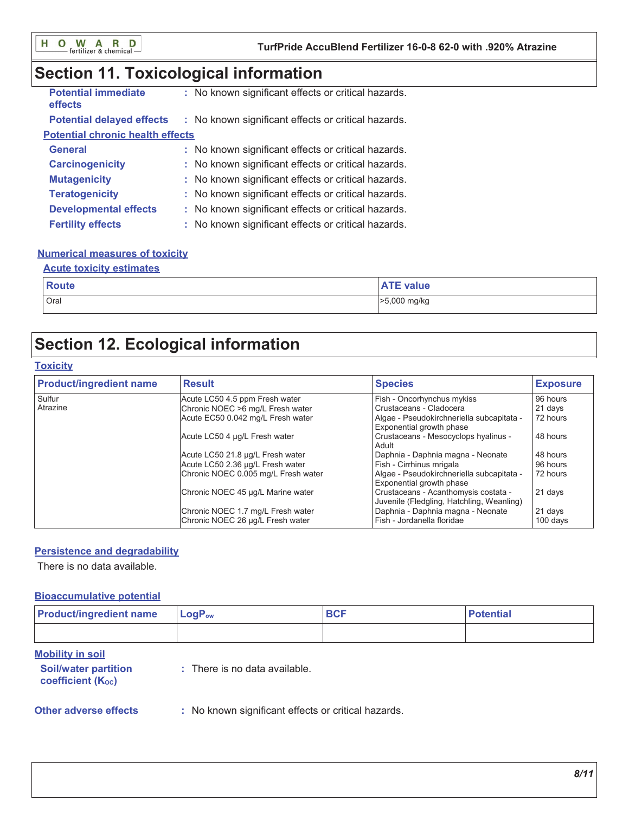# Section 11. Toxicological information

| <b>Potential immediate</b><br>effects   | : No known significant effects or critical hazards. |
|-----------------------------------------|-----------------------------------------------------|
| <b>Potential delayed effects</b>        | : No known significant effects or critical hazards. |
| <b>Potential chronic health effects</b> |                                                     |
| <b>General</b>                          | : No known significant effects or critical hazards. |
| <b>Carcinogenicity</b>                  | : No known significant effects or critical hazards. |
| <b>Mutagenicity</b>                     | : No known significant effects or critical hazards. |
| <b>Teratogenicity</b>                   | : No known significant effects or critical hazards. |
| <b>Developmental effects</b>            | : No known significant effects or critical hazards. |
| <b>Fertility effects</b>                | : No known significant effects or critical hazards. |

### **Numerical measures of toxicity**

#### **Acute toxicity estimates**

| <b>Route</b> | A TE<br><b>TE value</b> |
|--------------|-------------------------|
| Oral         | >5,000 mg/kg            |

# **Section 12. Ecological information**

#### **Toxicity**

| <b>Product/ingredient name</b> | <b>Result</b>                                                         | <b>Species</b>                                                                    | <b>Exposure</b>     |
|--------------------------------|-----------------------------------------------------------------------|-----------------------------------------------------------------------------------|---------------------|
| Sulfur                         | Acute LC50 4.5 ppm Fresh water                                        | Fish - Oncorhynchus mykiss                                                        | 96 hours            |
| Atrazine                       | Chronic NOEC >6 mg/L Fresh water                                      | Crustaceans - Cladocera                                                           | 21 days             |
|                                | Acute EC50 0.042 mg/L Fresh water                                     | Algae - Pseudokirchneriella subcapitata -<br>Exponential growth phase             | 72 hours            |
|                                | Acute LC50 4 µg/L Fresh water                                         | Crustaceans - Mesocyclops hyalinus -<br>Adult                                     | 48 hours            |
|                                | Acute LC50 21.8 µg/L Fresh water                                      | Daphnia - Daphnia magna - Neonate                                                 | 48 hours            |
|                                | Acute LC50 2.36 µg/L Fresh water                                      | Fish - Cirrhinus mrigala                                                          | 96 hours            |
|                                | Chronic NOEC 0.005 mg/L Fresh water                                   | Algae - Pseudokirchneriella subcapitata -<br>Exponential growth phase             | 72 hours            |
|                                | Chronic NOEC 45 µg/L Marine water                                     | Crustaceans - Acanthomysis costata -<br>Juvenile (Fledgling, Hatchling, Weanling) | 21 days             |
|                                | Chronic NOEC 1.7 mg/L Fresh water<br>Chronic NOEC 26 µg/L Fresh water | Daphnia - Daphnia magna - Neonate<br>Fish - Jordanella floridae                   | 21 days<br>100 days |

#### **Persistence and degradability**

There is no data available.

#### **Bioaccumulative potential**

| <b>Product/ingredient name</b>                                                     | $LogP_{ow}$                                         | <b>BCF</b> | <b>Potential</b> |
|------------------------------------------------------------------------------------|-----------------------------------------------------|------------|------------------|
|                                                                                    |                                                     |            |                  |
| <b>Mobility in soil</b><br><b>Soil/water partition</b><br><b>coefficient (Koc)</b> | $:$ There is no data available.                     |            |                  |
| <b>Other adverse effects</b>                                                       | : No known significant effects or critical hazards. |            |                  |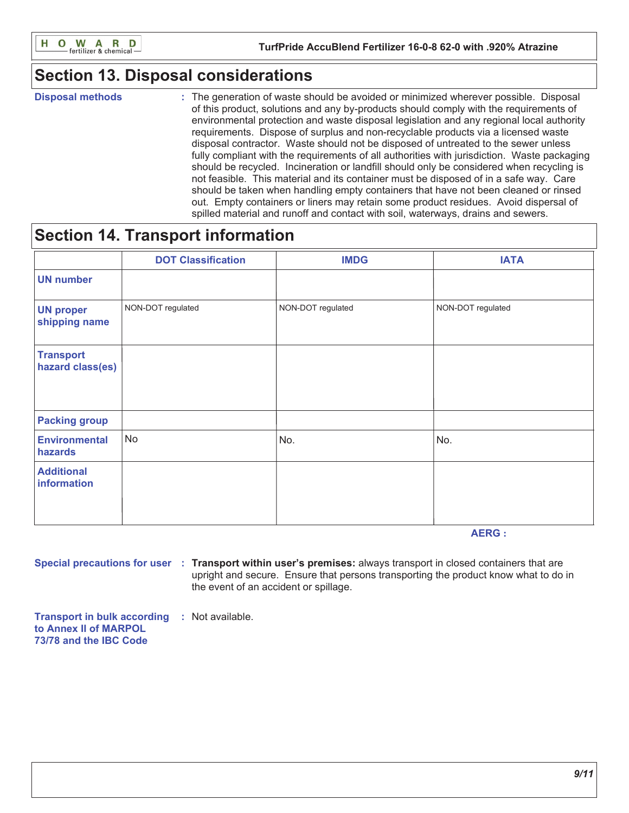

# **Section 13. Disposal considerations**

**Disposal methods** 

: The generation of waste should be avoided or minimized wherever possible. Disposal of this product, solutions and any by-products should comply with the requirements of environmental protection and waste disposal legislation and any regional local authority requirements. Dispose of surplus and non-recyclable products via a licensed waste disposal contractor. Waste should not be disposed of untreated to the sewer unless fully compliant with the requirements of all authorities with jurisdiction. Waste packaging should be recycled. Incineration or landfill should only be considered when recycling is not feasible. This material and its container must be disposed of in a safe way. Care should be taken when handling empty containers that have not been cleaned or rinsed out. Empty containers or liners may retain some product residues. Avoid dispersal of spilled material and runoff and contact with soil, waterways, drains and sewers.

# **Section 14. Transport information**

|                                      | <b>DOT Classification</b> | <b>IMDG</b>       | <b>IATA</b>       |
|--------------------------------------|---------------------------|-------------------|-------------------|
| <b>UN number</b>                     |                           |                   |                   |
| <b>UN proper</b><br>shipping name    | NON-DOT regulated         | NON-DOT regulated | NON-DOT regulated |
| <b>Transport</b><br>hazard class(es) |                           |                   |                   |
| <b>Packing group</b>                 |                           |                   |                   |
| <b>Environmental</b><br>hazards      | <b>No</b>                 | No.               | No.               |
| <b>Additional</b><br>information     |                           |                   |                   |

**AERG:** 

Special precautions for user : Transport within user's premises: always transport in closed containers that are upright and secure. Ensure that persons transporting the product know what to do in the event of an accident or spillage.

**Transport in bulk according : Not available.** to Annex II of MARPOL 73/78 and the IBC Code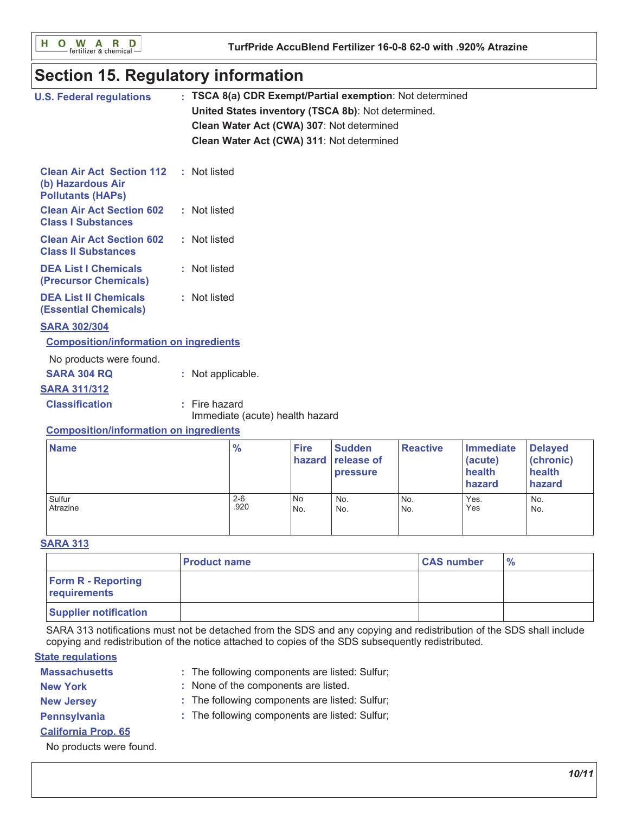O W A R D<br>
Fertilizer & chemicalн

# **Section 15. Regulatory information**

| <b>U.S. Federal regulations</b>                                                   | : TSCA 8(a) CDR Exempt/Partial exemption: Not determined<br>United States inventory (TSCA 8b): Not determined.<br>Clean Water Act (CWA) 307: Not determined<br>Clean Water Act (CWA) 311: Not determined |
|-----------------------------------------------------------------------------------|----------------------------------------------------------------------------------------------------------------------------------------------------------------------------------------------------------|
| <b>Clean Air Act Section 112</b><br>(b) Hazardous Air<br><b>Pollutants (HAPS)</b> | : Not listed                                                                                                                                                                                             |
| <b>Clean Air Act Section 602</b><br><b>Class I Substances</b>                     | : Not listed                                                                                                                                                                                             |
| <b>Clean Air Act Section 602</b><br><b>Class II Substances</b>                    | : Not listed                                                                                                                                                                                             |
| <b>DEA List I Chemicals</b><br>(Precursor Chemicals)                              | : Not listed                                                                                                                                                                                             |
| <b>DEA List II Chemicals</b><br><b>(Essential Chemicals)</b>                      | : Not listed                                                                                                                                                                                             |
| <b>SARA 302/304</b>                                                               |                                                                                                                                                                                                          |
| <b>Composition/information on ingredients</b>                                     |                                                                                                                                                                                                          |
| No products were found.                                                           |                                                                                                                                                                                                          |
| <b>SARA 304 RQ</b>                                                                | : Not applicable.                                                                                                                                                                                        |
| <b>SARA 311/312</b>                                                               |                                                                                                                                                                                                          |
| <b>Classification</b>                                                             | $:$ Fire hazard<br>Immediate (acute) health hazard                                                                                                                                                       |
| <b>Composition/information on ingredients</b>                                     |                                                                                                                                                                                                          |

| <b>Name</b> | $\frac{9}{6}$ | <b>Fire</b> | <b>Sudden</b><br>hazard release of<br><b>pressure</b> | <b>Reactive</b> | Immediate<br>(acute)<br>health<br>hazard | <b>Delayed</b><br>(chronic)<br>health<br>hazard |
|-------------|---------------|-------------|-------------------------------------------------------|-----------------|------------------------------------------|-------------------------------------------------|
| Sulfur      | $2 - 6$       | l No        | No.                                                   | No.             | Yes.                                     | No.                                             |
| Atrazine    | .920          | lNo.        | No.                                                   | No.             | Yes                                      | No.                                             |

#### **SARA 313**

|                                           | <b>Product name</b> | <b>CAS number</b> | $\frac{9}{6}$ |
|-------------------------------------------|---------------------|-------------------|---------------|
| <b>Form R - Reporting</b><br>requirements |                     |                   |               |
| <b>Supplier notification</b>              |                     |                   |               |

SARA 313 notifications must not be detached from the SDS and any copying and redistribution of the SDS shall include copying and redistribution of the notice attached to copies of the SDS subsequently redistributed.

### **State regulations**

- **Massachusetts** : The following components are listed: Sulfur;
- : None of the components are listed. **New York**
- **New Jersey**
- : The following components are listed: Sulfur;
- **Pennsylvania**
- : The following components are listed: Sulfur;
- **California Prop. 65**

No products were found.